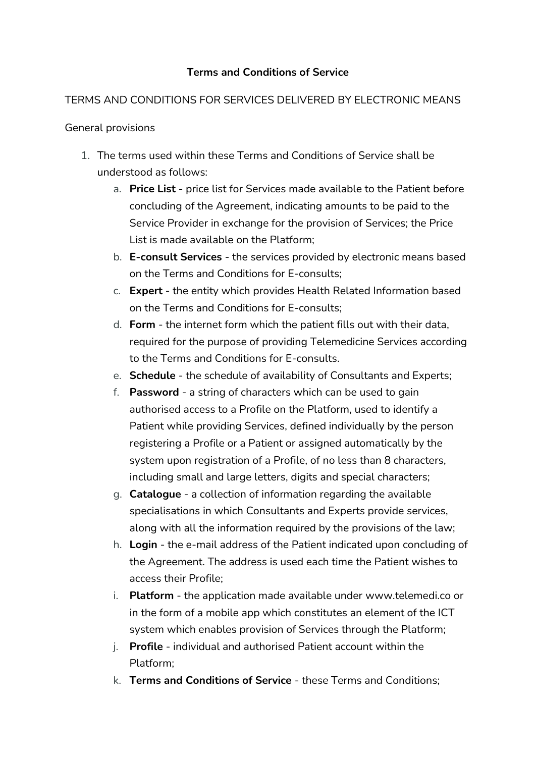## **Terms and Conditions of Service**

## TERMS AND CONDITIONS FOR SERVICES DELIVERED BY ELECTRONIC MEANS

General provisions

- 1. The terms used within these Terms and Conditions of Service shall be understood as follows:
	- a. **Price List** price list for Services made available to the Patient before concluding of the Agreement, indicating amounts to be paid to the Service Provider in exchange for the provision of Services; the Price List is made available on the Platform;
	- b. **E-consult Services**  the services provided by electronic means based on the Terms and Conditions for E-consults;
	- c. **Expert** the entity which provides Health Related Information based on the Terms and Conditions for E-consults;
	- d. **Form** the internet form which the patient fills out with their data, required for the purpose of providing Telemedicine Services according to the Terms and Conditions for E-consults.
	- e. **Schedule** the schedule of availability of Consultants and Experts;
	- f. **Password** a string of characters which can be used to gain authorised access to a Profile on the Platform, used to identify a Patient while providing Services, defined individually by the person registering a Profile or a Patient or assigned automatically by the system upon registration of a Profile, of no less than 8 characters, including small and large letters, digits and special characters;
	- g. **Catalogue** a collection of information regarding the available specialisations in which Consultants and Experts provide services, along with all the information required by the provisions of the law;
	- h. **Login** the e-mail address of the Patient indicated upon concluding of the Agreement. The address is used each time the Patient wishes to access their Profile;
	- i. **Platform** the application made available under [www.telemedi.co](http://www.telemedi.co/) or in the form of a mobile app which constitutes an element of the ICT system which enables provision of Services through the Platform;
	- j. **Profile** individual and authorised Patient account within the Platform;
	- k. **Terms and Conditions of Service** these Terms and Conditions;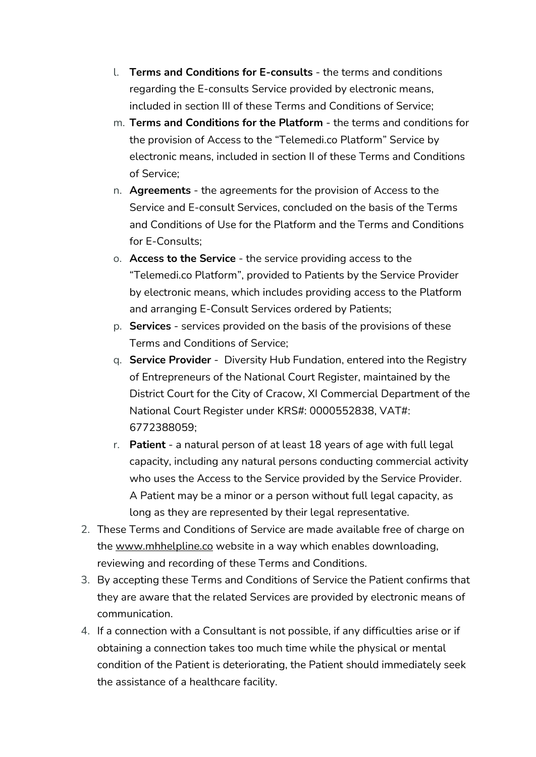- l. **Terms and Conditions for E-consults** the terms and conditions regarding the E-consults Service provided by electronic means, included in section III of these Terms and Conditions of Service;
- m. **Terms and Conditions for the Platform** the terms and conditions for the provision of Access to the "Telemedi.co Platform" Service by electronic means, included in section II of these Terms and Conditions of Service;
- n. **Agreements** the agreements for the provision of Access to the Service and E-consult Services, concluded on the basis of the Terms and Conditions of Use for the Platform and the Terms and Conditions for E-Consults;
- o. **Access to the Service** the service providing access to the "Telemedi.co Platform", provided to Patients by the Service Provider by electronic means, which includes providing access to the Platform and arranging E-Consult Services ordered by Patients;
- p. **Services** services provided on the basis of the provisions of these Terms and Conditions of Service;
- q. **Service Provider** Diversity Hub Fundation, entered into the Registry of Entrepreneurs of the National Court Register, maintained by the District Court for the City of Cracow, XI Commercial Department of the National Court Register under KRS#: 0000552838, VAT#: 6772388059;
- r. **Patient** a natural person of at least 18 years of age with full legal capacity, including any natural persons conducting commercial activity who uses the Access to the Service provided by the Service Provider. A Patient may be a minor or a person without full legal capacity, as long as they are represented by their legal representative.
- 2. These Terms and Conditions of Service are made available free of charge on the [www.mhhelpline.co](http://www.mhhelpline.co/) website in a way which enables downloading, reviewing and recording of these Terms and Conditions.
- 3. By accepting these Terms and Conditions of Service the Patient confirms that they are aware that the related Services are provided by electronic means of communication.
- 4. If a connection with a Consultant is not possible, if any difficulties arise or if obtaining a connection takes too much time while the physical or mental condition of the Patient is deteriorating, the Patient should immediately seek the assistance of a healthcare facility.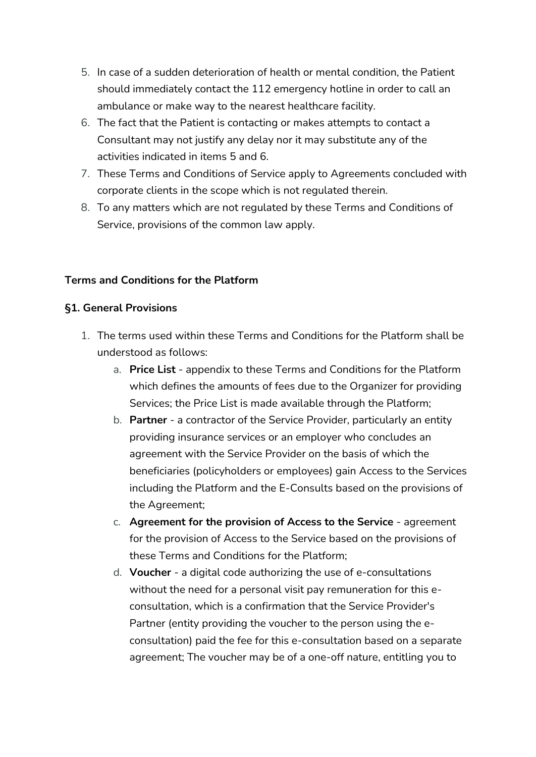- 5. In case of a sudden deterioration of health or mental condition, the Patient should immediately contact the 112 emergency hotline in order to call an ambulance or make way to the nearest healthcare facility.
- 6. The fact that the Patient is contacting or makes attempts to contact a Consultant may not justify any delay nor it may substitute any of the activities indicated in items 5 and 6.
- 7. These Terms and Conditions of Service apply to Agreements concluded with corporate clients in the scope which is not regulated therein.
- 8. To any matters which are not regulated by these Terms and Conditions of Service, provisions of the common law apply.

#### **Terms and Conditions for the Platform**

#### **§1. General Provisions**

- 1. The terms used within these Terms and Conditions for the Platform shall be understood as follows:
	- a. **Price List** appendix to these Terms and Conditions for the Platform which defines the amounts of fees due to the Organizer for providing Services; the Price List is made available through the Platform;
	- b. **Partner** a contractor of the Service Provider, particularly an entity providing insurance services or an employer who concludes an agreement with the Service Provider on the basis of which the beneficiaries (policyholders or employees) gain Access to the Services including the Platform and the E-Consults based on the provisions of the Agreement;
	- c. **Agreement for the provision of Access to the Service** agreement for the provision of Access to the Service based on the provisions of these Terms and Conditions for the Platform;
	- d. **Voucher**  a digital code authorizing the use of e-consultations without the need for a personal visit pay remuneration for this econsultation, which is a confirmation that the Service Provider's Partner (entity providing the voucher to the person using the econsultation) paid the fee for this e-consultation based on a separate agreement; The voucher may be of a one-off nature, entitling you to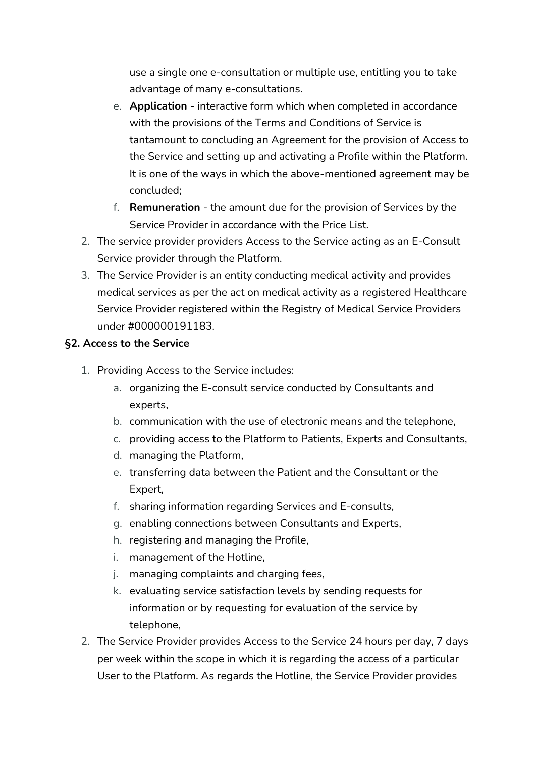use a single one e-consultation or multiple use, entitling you to take advantage of many e-consultations.

- e. **Application** interactive form which when completed in accordance with the provisions of the Terms and Conditions of Service is tantamount to concluding an Agreement for the provision of Access to the Service and setting up and activating a Profile within the Platform. It is one of the ways in which the above-mentioned agreement may be concluded;
- f. **Remuneration** the amount due for the provision of Services by the Service Provider in accordance with the Price List.
- 2. The service provider providers Access to the Service acting as an E-Consult Service provider through the Platform.
- 3. The Service Provider is an entity conducting medical activity and provides medical services as per the act on medical activity as a registered Healthcare Service Provider registered within the Registry of Medical Service Providers under #000000191183.

#### **§2. Access to the Service**

- 1. Providing Access to the Service includes:
	- a. organizing the E-consult service conducted by Consultants and experts,
	- b. communication with the use of electronic means and the telephone,
	- c. providing access to the Platform to Patients, Experts and Consultants,
	- d. managing the Platform,
	- e. transferring data between the Patient and the Consultant or the Expert,
	- f. sharing information regarding Services and E-consults,
	- g. enabling connections between Consultants and Experts,
	- h. registering and managing the Profile,
	- i. management of the Hotline,
	- j. managing complaints and charging fees,
	- k. evaluating service satisfaction levels by sending requests for information or by requesting for evaluation of the service by telephone,
- 2. The Service Provider provides Access to the Service 24 hours per day, 7 days per week within the scope in which it is regarding the access of a particular User to the Platform. As regards the Hotline, the Service Provider provides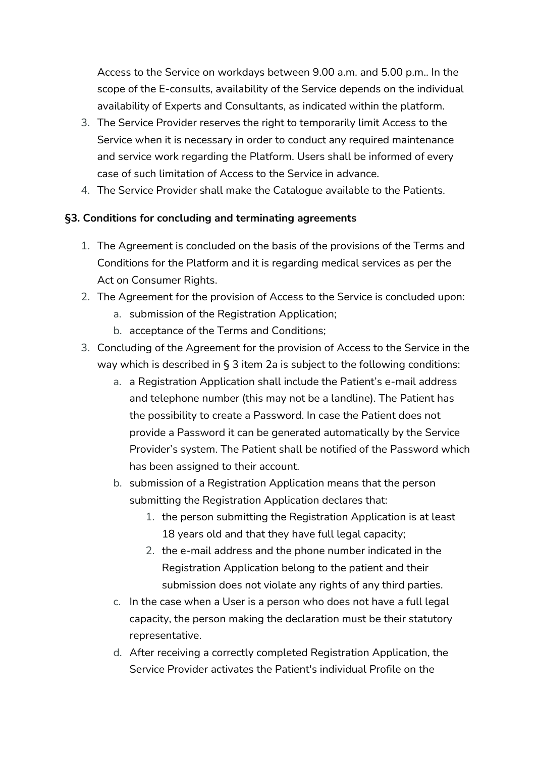Access to the Service on workdays between 9.00 a.m. and 5.00 p.m.. In the scope of the E-consults, availability of the Service depends on the individual availability of Experts and Consultants, as indicated within the platform.

- 3. The Service Provider reserves the right to temporarily limit Access to the Service when it is necessary in order to conduct any required maintenance and service work regarding the Platform. Users shall be informed of every case of such limitation of Access to the Service in advance.
- 4. The Service Provider shall make the Catalogue available to the Patients.

#### **§3. Conditions for concluding and terminating agreements**

- 1. The Agreement is concluded on the basis of the provisions of the Terms and Conditions for the Platform and it is regarding medical services as per the Act on Consumer Rights.
- 2. The Agreement for the provision of Access to the Service is concluded upon:
	- a. submission of the Registration Application;
	- b. acceptance of the Terms and Conditions;
- 3. Concluding of the Agreement for the provision of Access to the Service in the way which is described in § 3 item 2a is subject to the following conditions:
	- a. a Registration Application shall include the Patient's e-mail address and telephone number (this may not be a landline). The Patient has the possibility to create a Password. In case the Patient does not provide a Password it can be generated automatically by the Service Provider's system. The Patient shall be notified of the Password which has been assigned to their account.
	- b. submission of a Registration Application means that the person submitting the Registration Application declares that:
		- 1. the person submitting the Registration Application is at least 18 years old and that they have full legal capacity;
		- 2. the e-mail address and the phone number indicated in the Registration Application belong to the patient and their submission does not violate any rights of any third parties.
	- c. In the case when a User is a person who does not have a full legal capacity, the person making the declaration must be their statutory representative.
	- d. After receiving a correctly completed Registration Application, the Service Provider activates the Patient's individual Profile on the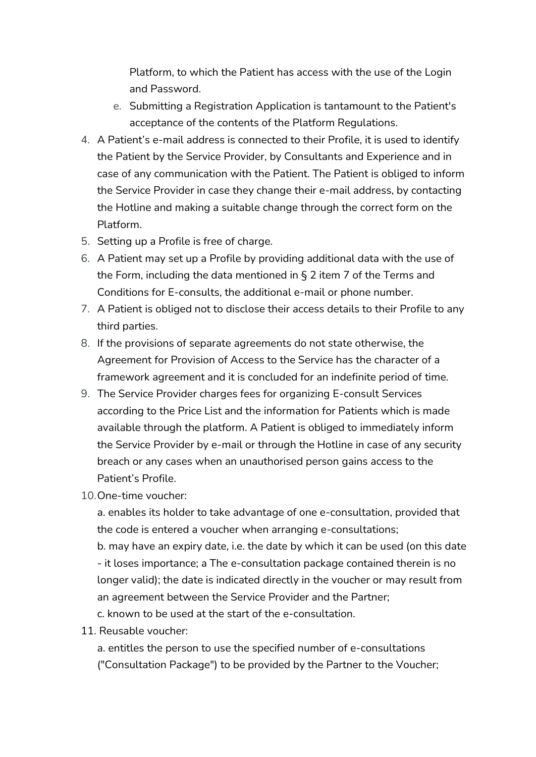Platform, to which the Patient has access with the use of the Login and Password.

- e. Submitting a Registration Application is tantamount to the Patient's acceptance of the contents of the Platform Regulations.
- 4. A Patient's e-mail address is connected to their Profile, it is used to identify the Patient by the Service Provider, by Consultants and Experience and in case of any communication with the Patient. The Patient is obliged to inform the Service Provider in case they change their e-mail address, by contacting the Hotline and making a suitable change through the correct form on the Platform.
- 5. Setting up a Profile is free of charge.
- 6. A Patient may set up a Profile by providing additional data with the use of the Form, including the data mentioned in § 2 item 7 of the Terms and Conditions for E-consults, the additional e-mail or phone number.
- 7. A Patient is obliged not to disclose their access details to their Profile to any third parties.
- 8. If the provisions of separate agreements do not state otherwise, the Agreement for Provision of Access to the Service has the character of a framework agreement and it is concluded for an indefinite period of time.
- 9. The Service Provider charges fees for organizing E-consult Services according to the Price List and the information for Patients which is made available through the platform. A Patient is obliged to immediately inform the Service Provider by e-mail or through the Hotline in case of any security breach or any cases when an unauthorised person gains access to the Patient's Profile.
- 10.One-time voucher:

a. enables its holder to take advantage of one e-consultation, provided that the code is entered a voucher when arranging e-consultations;

b. may have an expiry date, i.e. the date by which it can be used (on this date - it loses importance; a The e-consultation package contained therein is no longer valid); the date is indicated directly in the voucher or may result from an agreement between the Service Provider and the Partner;

- c. known to be used at the start of the e-consultation.
- 11. Reusable voucher:

a. entitles the person to use the specified number of e-consultations ("Consultation Package") to be provided by the Partner to the Voucher;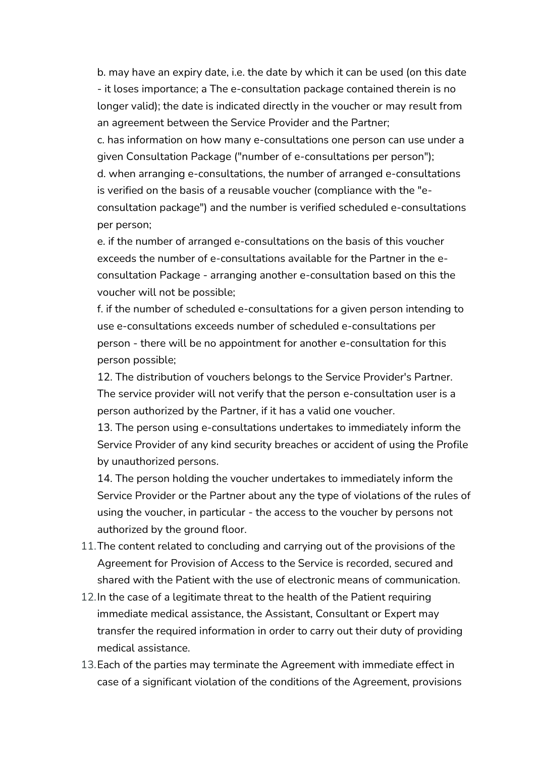b. may have an expiry date, i.e. the date by which it can be used (on this date - it loses importance; a The e-consultation package contained therein is no longer valid); the date is indicated directly in the voucher or may result from an agreement between the Service Provider and the Partner;

c. has information on how many e-consultations one person can use under a given Consultation Package ("number of e-consultations per person"); d. when arranging e-consultations, the number of arranged e-consultations is verified on the basis of a reusable voucher (compliance with the "econsultation package") and the number is verified scheduled e-consultations per person;

e. if the number of arranged e-consultations on the basis of this voucher exceeds the number of e-consultations available for the Partner in the econsultation Package - arranging another e-consultation based on this the voucher will not be possible;

f. if the number of scheduled e-consultations for a given person intending to use e-consultations exceeds number of scheduled e-consultations per person - there will be no appointment for another e-consultation for this person possible;

12. The distribution of vouchers belongs to the Service Provider's Partner. The service provider will not verify that the person e-consultation user is a person authorized by the Partner, if it has a valid one voucher.

13. The person using e-consultations undertakes to immediately inform the Service Provider of any kind security breaches or accident of using the Profile by unauthorized persons.

14. The person holding the voucher undertakes to immediately inform the Service Provider or the Partner about any the type of violations of the rules of using the voucher, in particular - the access to the voucher by persons not authorized by the ground floor.

- 11.The content related to concluding and carrying out of the provisions of the Agreement for Provision of Access to the Service is recorded, secured and shared with the Patient with the use of electronic means of communication.
- 12.In the case of a legitimate threat to the health of the Patient requiring immediate medical assistance, the Assistant, Consultant or Expert may transfer the required information in order to carry out their duty of providing medical assistance.
- 13.Each of the parties may terminate the Agreement with immediate effect in case of a significant violation of the conditions of the Agreement, provisions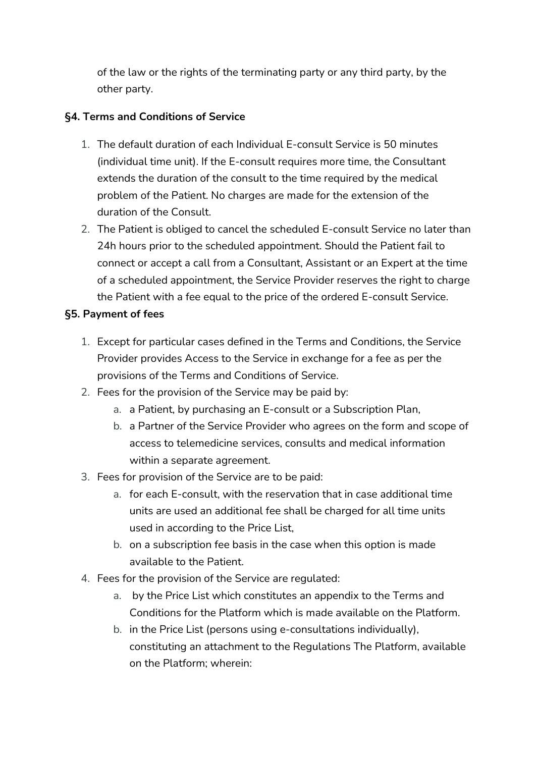of the law or the rights of the terminating party or any third party, by the other party.

## **§4. Terms and Conditions of Service**

- 1. The default duration of each Individual E-consult Service is 50 minutes (individual time unit). If the E-consult requires more time, the Consultant extends the duration of the consult to the time required by the medical problem of the Patient. No charges are made for the extension of the duration of the Consult.
- 2. The Patient is obliged to cancel the scheduled E-consult Service no later than 24h hours prior to the scheduled appointment. Should the Patient fail to connect or accept a call from a Consultant, Assistant or an Expert at the time of a scheduled appointment, the Service Provider reserves the right to charge the Patient with a fee equal to the price of the ordered E-consult Service.

## **§5. Payment of fees**

- 1. Except for particular cases defined in the Terms and Conditions, the Service Provider provides Access to the Service in exchange for a fee as per the provisions of the Terms and Conditions of Service.
- 2. Fees for the provision of the Service may be paid by:
	- a. a Patient, by purchasing an E-consult or a Subscription Plan,
	- b. a Partner of the Service Provider who agrees on the form and scope of access to telemedicine services, consults and medical information within a separate agreement.
- 3. Fees for provision of the Service are to be paid:
	- a. for each E-consult, with the reservation that in case additional time units are used an additional fee shall be charged for all time units used in according to the Price List,
	- b. on a subscription fee basis in the case when this option is made available to the Patient.
- 4. Fees for the provision of the Service are regulated:
	- a. by the Price List which constitutes an appendix to the Terms and Conditions for the Platform which is made available on the Platform.
	- b. in the Price List (persons using e-consultations individually), constituting an attachment to the Regulations The Platform, available on the Platform; wherein: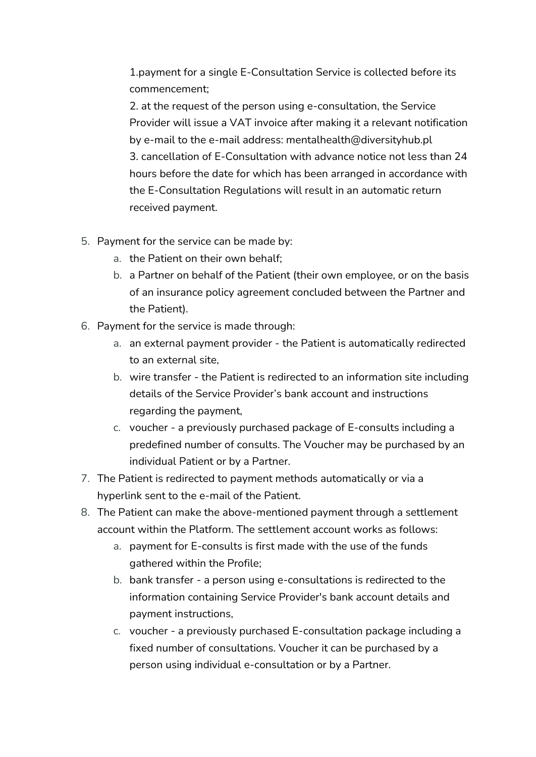1.payment for a single E-Consultation Service is collected before its commencement;

2. at the request of the person using e-consultation, the Service Provider will issue a VAT invoice after making it a relevant notification by e-mail to the e-mail address: mentalhealth@diversityhub.pl 3. cancellation of E-Consultation with advance notice not less than 24 hours before the date for which has been arranged in accordance with the E-Consultation Regulations will result in an automatic return received payment.

- 5. Payment for the service can be made by:
	- a. the Patient on their own behalf;
	- b. a Partner on behalf of the Patient (their own employee, or on the basis of an insurance policy agreement concluded between the Partner and the Patient).
- 6. Payment for the service is made through:
	- a. an external payment provider the Patient is automatically redirected to an external site,
	- b. wire transfer the Patient is redirected to an information site including details of the Service Provider's bank account and instructions regarding the payment,
	- c. voucher a previously purchased package of E-consults including a predefined number of consults. The Voucher may be purchased by an individual Patient or by a Partner.
- 7. The Patient is redirected to payment methods automatically or via a hyperlink sent to the e-mail of the Patient.
- 8. The Patient can make the above-mentioned payment through a settlement account within the Platform. The settlement account works as follows:
	- a. payment for E-consults is first made with the use of the funds gathered within the Profile;
	- b. bank transfer a person using e-consultations is redirected to the information containing Service Provider's bank account details and payment instructions,
	- c. voucher a previously purchased E-consultation package including a fixed number of consultations. Voucher it can be purchased by a person using individual e-consultation or by a Partner.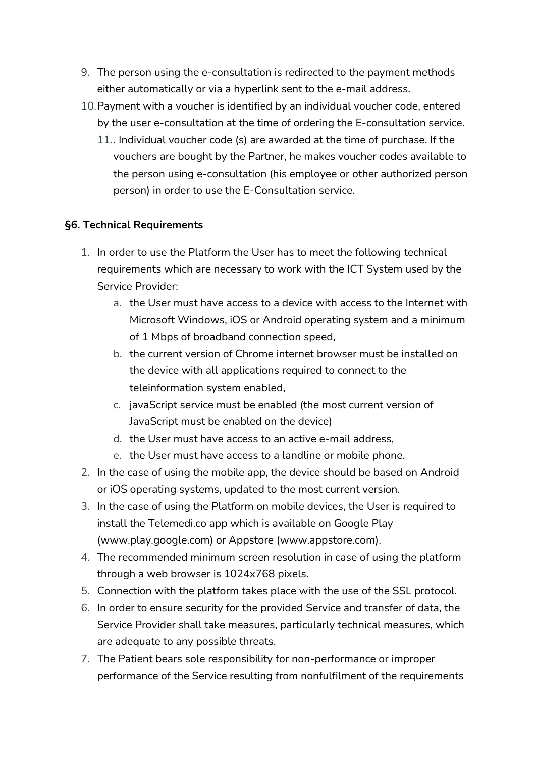- 9. The person using the e-consultation is redirected to the payment methods either automatically or via a hyperlink sent to the e-mail address.
- 10.Payment with a voucher is identified by an individual voucher code, entered by the user e-consultation at the time of ordering the E-consultation service.
	- 11.. Individual voucher code (s) are awarded at the time of purchase. If the vouchers are bought by the Partner, he makes voucher codes available to the person using e-consultation (his employee or other authorized person person) in order to use the E-Consultation service.

#### **§6. Technical Requirements**

- 1. In order to use the Platform the User has to meet the following technical requirements which are necessary to work with the ICT System used by the Service Provider:
	- a. the User must have access to a device with access to the Internet with Microsoft Windows, iOS or Android operating system and a minimum of 1 Mbps of broadband connection speed,
	- b. the current version of Chrome internet browser must be installed on the device with all applications required to connect to the teleinformation system enabled,
	- c. javaScript service must be enabled (the most current version of JavaScript must be enabled on the device)
	- d. the User must have access to an active e-mail address,
	- e. the User must have access to a landline or mobile phone.
- 2. In the case of using the mobile app, the device should be based on Android or iOS operating systems, updated to the most current version.
- 3. In the case of using the Platform on mobile devices, the User is required to install the Telemedi.co app which is available on Google Play [\(www.play.google.com\)](http://www.play.google.com/) or Appstore [\(www.appstore.com\)](http://www.appstore.com/).
- 4. The recommended minimum screen resolution in case of using the platform through a web browser is 1024x768 pixels.
- 5. Connection with the platform takes place with the use of the SSL protocol.
- 6. In order to ensure security for the provided Service and transfer of data, the Service Provider shall take measures, particularly technical measures, which are adequate to any possible threats.
- 7. The Patient bears sole responsibility for non-performance or improper performance of the Service resulting from nonfulfilment of the requirements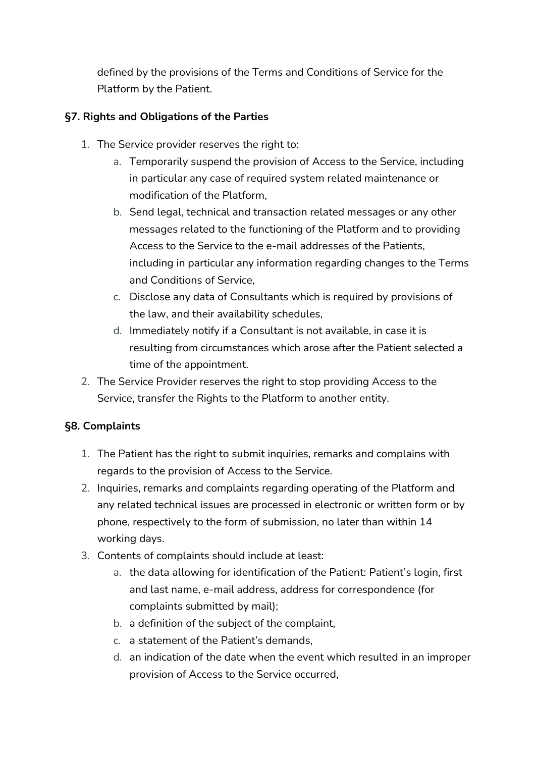defined by the provisions of the Terms and Conditions of Service for the Platform by the Patient.

## **§7. Rights and Obligations of the Parties**

- 1. The Service provider reserves the right to:
	- a. Temporarily suspend the provision of Access to the Service, including in particular any case of required system related maintenance or modification of the Platform,
	- b. Send legal, technical and transaction related messages or any other messages related to the functioning of the Platform and to providing Access to the Service to the e-mail addresses of the Patients, including in particular any information regarding changes to the Terms and Conditions of Service,
	- c. Disclose any data of Consultants which is required by provisions of the law, and their availability schedules,
	- d. Immediately notify if a Consultant is not available, in case it is resulting from circumstances which arose after the Patient selected a time of the appointment.
- 2. The Service Provider reserves the right to stop providing Access to the Service, transfer the Rights to the Platform to another entity.

# **§8. Complaints**

- 1. The Patient has the right to submit inquiries, remarks and complains with regards to the provision of Access to the Service.
- 2. Inquiries, remarks and complaints regarding operating of the Platform and any related technical issues are processed in electronic or written form or by phone, respectively to the form of submission, no later than within 14 working days.
- 3. Contents of complaints should include at least:
	- a. the data allowing for identification of the Patient: Patient's login, first and last name, e-mail address, address for correspondence (for complaints submitted by mail);
	- b. a definition of the subject of the complaint,
	- c. a statement of the Patient's demands,
	- d. an indication of the date when the event which resulted in an improper provision of Access to the Service occurred,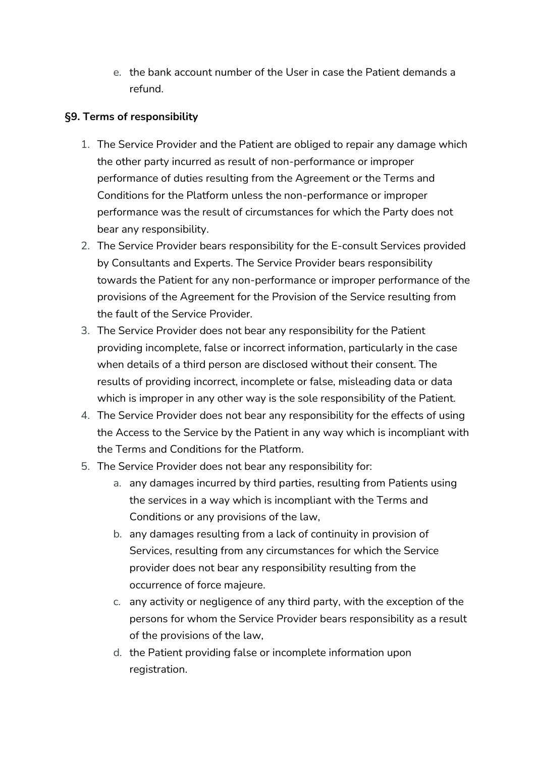e. the bank account number of the User in case the Patient demands a refund.

## **§9. Terms of responsibility**

- 1. The Service Provider and the Patient are obliged to repair any damage which the other party incurred as result of non-performance or improper performance of duties resulting from the Agreement or the Terms and Conditions for the Platform unless the non-performance or improper performance was the result of circumstances for which the Party does not bear any responsibility.
- 2. The Service Provider bears responsibility for the E-consult Services provided by Consultants and Experts. The Service Provider bears responsibility towards the Patient for any non-performance or improper performance of the provisions of the Agreement for the Provision of the Service resulting from the fault of the Service Provider.
- 3. The Service Provider does not bear any responsibility for the Patient providing incomplete, false or incorrect information, particularly in the case when details of a third person are disclosed without their consent. The results of providing incorrect, incomplete or false, misleading data or data which is improper in any other way is the sole responsibility of the Patient.
- 4. The Service Provider does not bear any responsibility for the effects of using the Access to the Service by the Patient in any way which is incompliant with the Terms and Conditions for the Platform.
- 5. The Service Provider does not bear any responsibility for:
	- a. any damages incurred by third parties, resulting from Patients using the services in a way which is incompliant with the Terms and Conditions or any provisions of the law,
	- b. any damages resulting from a lack of continuity in provision of Services, resulting from any circumstances for which the Service provider does not bear any responsibility resulting from the occurrence of force majeure.
	- c. any activity or negligence of any third party, with the exception of the persons for whom the Service Provider bears responsibility as a result of the provisions of the law,
	- d. the Patient providing false or incomplete information upon registration.